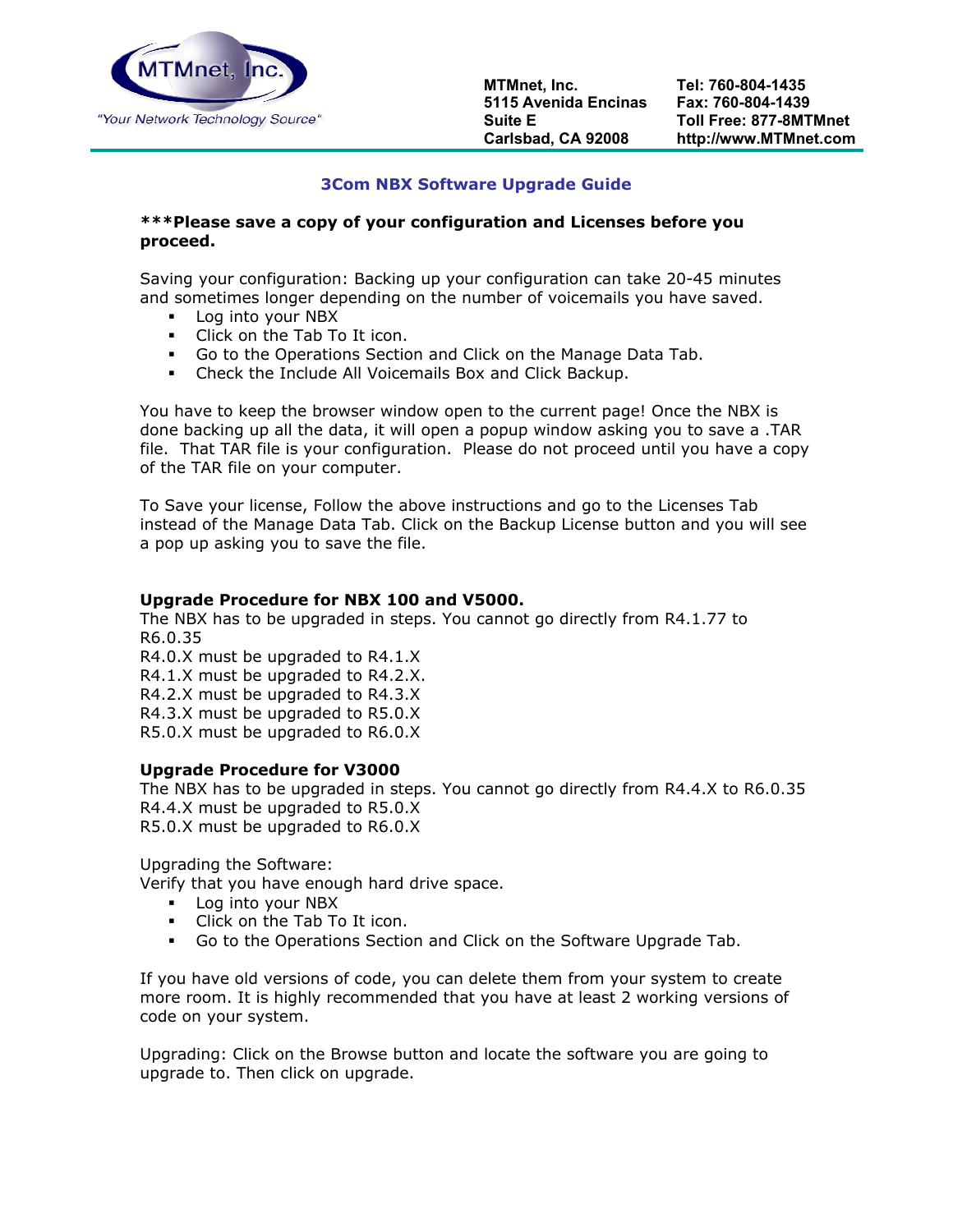

## **3Com NBX Software Upgrade Guide**

## **\*\*\*Please save a copy of your configuration and Licenses before you proceed.**

Saving your configuration: Backing up your configuration can take 20-45 minutes and sometimes longer depending on the number of voicemails you have saved.

- **Log into your NBX**
- Click on the Tab To It icon.
- Go to the Operations Section and Click on the Manage Data Tab.
- Check the Include All Voicemails Box and Click Backup.

You have to keep the browser window open to the current page! Once the NBX is done backing up all the data, it will open a popup window asking you to save a .TAR file. That TAR file is your configuration. Please do not proceed until you have a copy of the TAR file on your computer.

To Save your license, Follow the above instructions and go to the Licenses Tab instead of the Manage Data Tab. Click on the Backup License button and you will see a pop up asking you to save the file.

## **Upgrade Procedure for NBX 100 and V5000.**

The NBX has to be upgraded in steps. You cannot go directly from R4.1.77 to R6.0.35 R4.0.X must be upgraded to R4.1.X

R4.1.X must be upgraded to R4.2.X. R4.2.X must be upgraded to R4.3.X R4.3.X must be upgraded to R5.0.X R5.0.X must be upgraded to R6.0.X

## **Upgrade Procedure for V3000**

The NBX has to be upgraded in steps. You cannot go directly from R4.4.X to R6.0.35 R4.4.X must be upgraded to R5.0.X R5.0.X must be upgraded to R6.0.X

Upgrading the Software:

Verify that you have enough hard drive space.

- **Log into your NBX**
- Click on the Tab To It icon.
- Go to the Operations Section and Click on the Software Upgrade Tab.

If you have old versions of code, you can delete them from your system to create more room. It is highly recommended that you have at least 2 working versions of code on your system.

Upgrading: Click on the Browse button and locate the software you are going to upgrade to. Then click on upgrade.